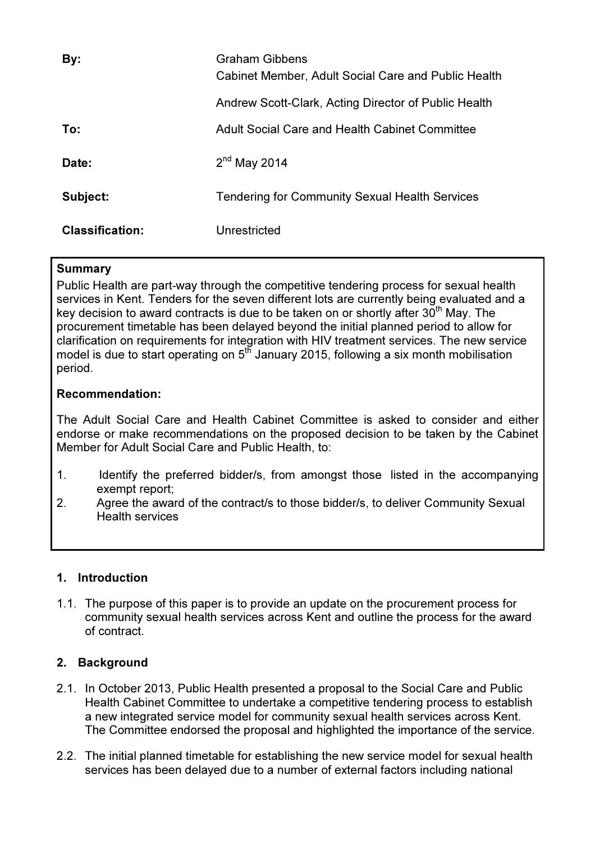| By:                    | Graham Gibbens<br>Cabinet Member, Adult Social Care and Public Health |
|------------------------|-----------------------------------------------------------------------|
|                        | Andrew Scott-Clark, Acting Director of Public Health                  |
| To:                    | <b>Adult Social Care and Health Cabinet Committee</b>                 |
| Date:                  | $2nd$ May 2014                                                        |
| Subject:               | <b>Tendering for Community Sexual Health Services</b>                 |
| <b>Classification:</b> | Unrestricted                                                          |

### Summary

Public Health are part-way through the competitive tendering process for sexual health services in Kent. Tenders for the seven different lots are currently being evaluated and a key decision to award contracts is due to be taken on or shortly after  $30<sup>th</sup>$  May. The procurement timetable has been delayed beyond the initial planned period to allow for clarification on requirements for integration with HIV treatment services. The new service model is due to start operating on 5<sup>th</sup> January 2015, following a six month mobilisation period.

### Recommendation:

The Adult Social Care and Health Cabinet Committee is asked to consider and either endorse or make recommendations on the proposed decision to be taken by the Cabinet Member for Adult Social Care and Public Health, to:

- 1. Identify the preferred bidder/s, from amongst those listed in the accompanying exempt report;
- 2. Agree the award of the contract/s to those bidder/s, to deliver Community Sexual Health services

# 1. Introduction

1.1. The purpose of this paper is to provide an update on the procurement process for community sexual health services across Kent and outline the process for the award of contract.

# 2. Background

- 2.1. In October 2013, Public Health presented a proposal to the Social Care and Public Health Cabinet Committee to undertake a competitive tendering process to establish a new integrated service model for community sexual health services across Kent. The Committee endorsed the proposal and highlighted the importance of the service.
- 2.2. The initial planned timetable for establishing the new service model for sexual health services has been delayed due to a number of external factors including national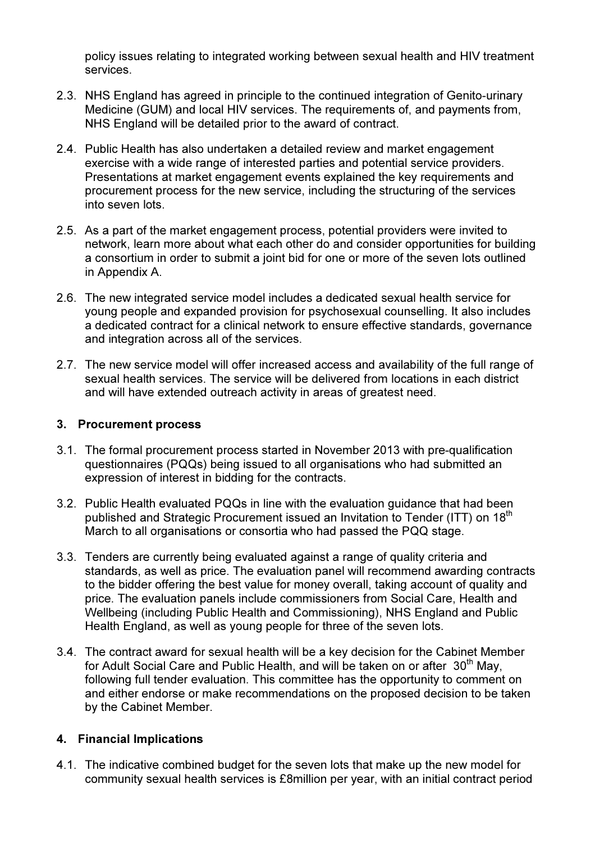policy issues relating to integrated working between sexual health and HIV treatment services.

- 2.3. NHS England has agreed in principle to the continued integration of Genito-urinary Medicine (GUM) and local HIV services. The requirements of, and payments from, NHS England will be detailed prior to the award of contract.
- 2.4. Public Health has also undertaken a detailed review and market engagement exercise with a wide range of interested parties and potential service providers. Presentations at market engagement events explained the key requirements and procurement process for the new service, including the structuring of the services into seven lots.
- 2.5. As a part of the market engagement process, potential providers were invited to network, learn more about what each other do and consider opportunities for building a consortium in order to submit a joint bid for one or more of the seven lots outlined in Appendix A.
- 2.6. The new integrated service model includes a dedicated sexual health service for young people and expanded provision for psychosexual counselling. It also includes a dedicated contract for a clinical network to ensure effective standards, governance and integration across all of the services.
- 2.7. The new service model will offer increased access and availability of the full range of sexual health services. The service will be delivered from locations in each district and will have extended outreach activity in areas of greatest need.

## 3. Procurement process

- 3.1. The formal procurement process started in November 2013 with pre-qualification questionnaires (PQQs) being issued to all organisations who had submitted an expression of interest in bidding for the contracts.
- 3.2. Public Health evaluated PQQs in line with the evaluation guidance that had been published and Strategic Procurement issued an Invitation to Tender (ITT) on 18<sup>th</sup> March to all organisations or consortia who had passed the PQQ stage.
- 3.3. Tenders are currently being evaluated against a range of quality criteria and standards, as well as price. The evaluation panel will recommend awarding contracts to the bidder offering the best value for money overall, taking account of quality and price. The evaluation panels include commissioners from Social Care, Health and Wellbeing (including Public Health and Commissioning), NHS England and Public Health England, as well as young people for three of the seven lots.
- 3.4. The contract award for sexual health will be a key decision for the Cabinet Member for Adult Social Care and Public Health, and will be taken on or after 30<sup>th</sup> May. following full tender evaluation. This committee has the opportunity to comment on and either endorse or make recommendations on the proposed decision to be taken by the Cabinet Member.

#### 4. Financial Implications

4.1. The indicative combined budget for the seven lots that make up the new model for community sexual health services is £8million per year, with an initial contract period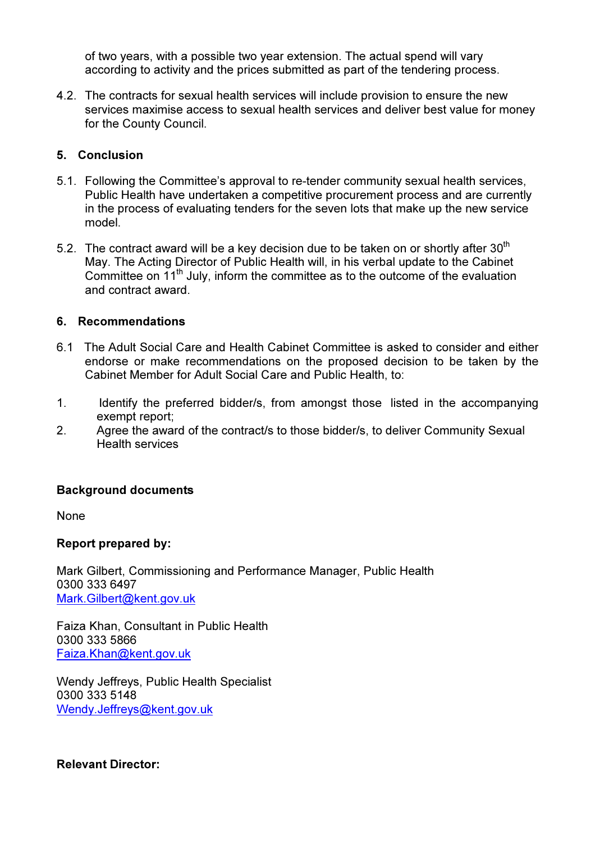of two years, with a possible two year extension. The actual spend will vary according to activity and the prices submitted as part of the tendering process.

4.2. The contracts for sexual health services will include provision to ensure the new services maximise access to sexual health services and deliver best value for money for the County Council.

## 5. Conclusion

- 5.1. Following the Committee's approval to re-tender community sexual health services, Public Health have undertaken a competitive procurement process and are currently in the process of evaluating tenders for the seven lots that make up the new service model.
- 5.2. The contract award will be a key decision due to be taken on or shortly after  $30<sup>th</sup>$ May. The Acting Director of Public Health will, in his verbal update to the Cabinet Committee on  $11<sup>th</sup>$  July, inform the committee as to the outcome of the evaluation and contract award.

### 6. Recommendations

- 6.1 The Adult Social Care and Health Cabinet Committee is asked to consider and either endorse or make recommendations on the proposed decision to be taken by the Cabinet Member for Adult Social Care and Public Health, to:
- 1. Identify the preferred bidder/s, from amongst those listed in the accompanying exempt report;
- 2. Agree the award of the contract/s to those bidder/s, to deliver Community Sexual Health services

# Background documents

None

#### Report prepared by:

Mark Gilbert, Commissioning and Performance Manager, Public Health 0300 333 6497 Mark.Gilbert@kent.gov.uk

Faiza Khan, Consultant in Public Health 0300 333 5866 Faiza.Khan@kent.gov.uk

Wendy Jeffreys, Public Health Specialist 0300 333 5148 Wendy.Jeffreys@kent.gov.uk

#### Relevant Director: